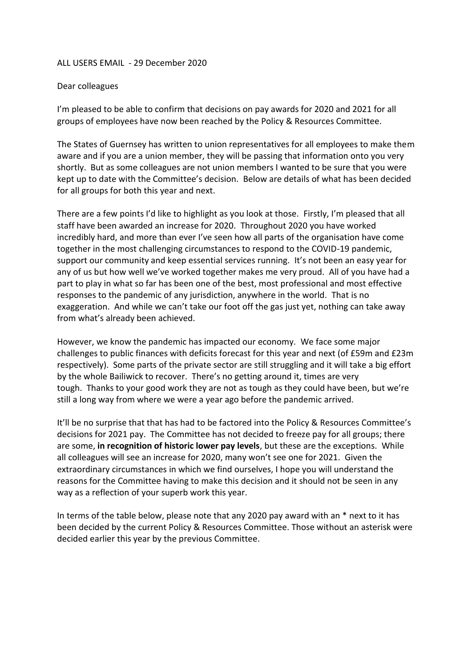## ALL USERS EMAIL - 29 December 2020

## Dear colleagues

I'm pleased to be able to confirm that decisions on pay awards for 2020 and 2021 for all groups of employees have now been reached by the Policy & Resources Committee.

The States of Guernsey has written to union representatives for all employees to make them aware and if you are a union member, they will be passing that information onto you very shortly. But as some colleagues are not union members I wanted to be sure that you were kept up to date with the Committee's decision. Below are details of what has been decided for all groups for both this year and next.

There are a few points I'd like to highlight as you look at those. Firstly, I'm pleased that all staff have been awarded an increase for 2020. Throughout 2020 you have worked incredibly hard, and more than ever I've seen how all parts of the organisation have come together in the most challenging circumstances to respond to the COVID-19 pandemic, support our community and keep essential services running. It's not been an easy year for any of us but how well we've worked together makes me very proud. All of you have had a part to play in what so far has been one of the best, most professional and most effective responses to the pandemic of any jurisdiction, anywhere in the world. That is no exaggeration. And while we can't take our foot off the gas just yet, nothing can take away from what's already been achieved.

However, we know the pandemic has impacted our economy. We face some major challenges to public finances with deficits forecast for this year and next (of £59m and £23m respectively). Some parts of the private sector are still struggling and it will take a big effort by the whole Bailiwick to recover. There's no getting around it, times are very tough. Thanks to your good work they are not as tough as they could have been, but we're still a long way from where we were a year ago before the pandemic arrived.

It'll be no surprise that that has had to be factored into the Policy & Resources Committee's decisions for 2021 pay. The Committee has not decided to freeze pay for all groups; there are some, **in recognition of historic lower pay levels**, but these are the exceptions. While all colleagues will see an increase for 2020, many won't see one for 2021. Given the extraordinary circumstances in which we find ourselves, I hope you will understand the reasons for the Committee having to make this decision and it should not be seen in any way as a reflection of your superb work this year.

In terms of the table below, please note that any 2020 pay award with an \* next to it has been decided by the current Policy & Resources Committee. Those without an asterisk were decided earlier this year by the previous Committee.